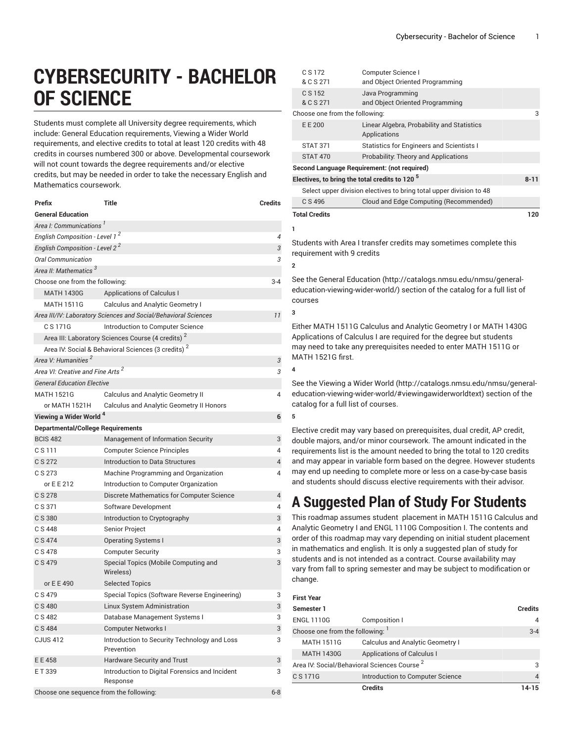## **CYBERSECURITY - BACHELOR OF SCIENCE**

Students must complete all University degree requirements, which include: General Education requirements, Viewing a Wider World requirements, and elective credits to total at least 120 credits with 48 credits in courses numbered 300 or above. Developmental coursework will not count towards the degree requirements and/or elective credits, but may be needed in order to take the necessary English and Mathematics coursework.

| Prefix                                             | Title                                                           | <b>Credits</b> |  |
|----------------------------------------------------|-----------------------------------------------------------------|----------------|--|
| <b>General Education</b>                           |                                                                 |                |  |
| Area I: Communications <sup>'</sup>                |                                                                 |                |  |
| English Composition - Level 1 <sup>2</sup>         |                                                                 | 4              |  |
| English Composition - Level 2 <sup>2</sup>         |                                                                 | $\sqrt{3}$     |  |
| <b>Oral Communication</b>                          |                                                                 | 3              |  |
| Area II: Mathematics <sup>3</sup>                  |                                                                 |                |  |
| Choose one from the following:                     |                                                                 | 3-4            |  |
| <b>MATH 1430G</b>                                  | <b>Applications of Calculus I</b>                               |                |  |
| <b>MATH 1511G</b>                                  | <b>Calculus and Analytic Geometry I</b>                         |                |  |
|                                                    | Area III/IV: Laboratory Sciences and Social/Behavioral Sciences | 11             |  |
| C S 171G                                           | Introduction to Computer Science                                |                |  |
|                                                    | Area III: Laboratory Sciences Course (4 credits) <sup>2</sup>   |                |  |
|                                                    | Area IV: Social & Behavioral Sciences (3 credits) <sup>2</sup>  |                |  |
| Area V: Humanities <sup>2</sup>                    |                                                                 | 3              |  |
| Area VI: Creative and Fine Arts <sup>2</sup>       |                                                                 | 3              |  |
| <b>General Education Elective</b>                  |                                                                 |                |  |
| <b>MATH 1521G</b>                                  | <b>Calculus and Analytic Geometry II</b>                        | 4              |  |
| or MATH 1521H                                      | <b>Calculus and Analytic Geometry II Honors</b>                 |                |  |
| Viewing a Wider World <sup>4</sup>                 |                                                                 | 6              |  |
| <b>Departmental/College Requirements</b>           |                                                                 |                |  |
| <b>BCIS 482</b>                                    | Management of Information Security                              | 3              |  |
| C S 111                                            | <b>Computer Science Principles</b>                              | 4              |  |
| C S 272                                            | Introduction to Data Structures                                 | 4              |  |
| C S 273                                            | Machine Programming and Organization                            | 4              |  |
| or E E 212                                         | Introduction to Computer Organization                           |                |  |
| C S 278                                            | Discrete Mathematics for Computer Science                       | 4              |  |
| C S 371                                            | Software Development                                            | 4              |  |
| C S 380                                            | Introduction to Cryptography                                    | 3              |  |
| C S 448                                            | <b>Senior Project</b>                                           | 4              |  |
| C S 474                                            | <b>Operating Systems I</b>                                      | 3              |  |
| C S 478                                            | <b>Computer Security</b>                                        | 3              |  |
| C S 479                                            | Special Topics (Mobile Computing and<br>Wireless)               | 3              |  |
| or E E 490                                         | <b>Selected Topics</b>                                          |                |  |
| C S 479                                            | Special Topics (Software Reverse Engineering)                   | 3              |  |
| C S 480                                            | Linux System Administration                                     | 3              |  |
| C S 482                                            | Database Management Systems I                                   | З              |  |
| C S 484                                            | Computer Networks I                                             | 3              |  |
| <b>CJUS 412</b>                                    | Introduction to Security Technology and Loss<br>Prevention      | 3              |  |
| E E 458                                            | Hardware Security and Trust                                     | 3              |  |
| ET 339                                             | Introduction to Digital Forensics and Incident<br>Response      | 3              |  |
| Choose one sequence from the following:<br>$6 - 8$ |                                                                 |                |  |

| <b>Total Credits</b>                        |                                                           |                                                                     |   |  |
|---------------------------------------------|-----------------------------------------------------------|---------------------------------------------------------------------|---|--|
|                                             | C S 496                                                   | Cloud and Edge Computing (Recommended)                              |   |  |
|                                             |                                                           | Select upper division electives to bring total upper division to 48 |   |  |
|                                             | Electives, to bring the total credits to 120 <sup>5</sup> |                                                                     |   |  |
| Second Language Requirement: (not required) |                                                           |                                                                     |   |  |
|                                             | <b>STAT 470</b>                                           | Probability: Theory and Applications                                |   |  |
|                                             | <b>STAT 371</b>                                           | Statistics for Engineers and Scientists I                           |   |  |
|                                             | E E 200                                                   | Linear Algebra, Probability and Statistics<br>Applications          |   |  |
|                                             | Choose one from the following:                            |                                                                     | 3 |  |
|                                             | C S 152<br>& C S 271                                      | Java Programming<br>and Object Oriented Programming                 |   |  |
|                                             | C S 172<br>& C S 271                                      | Computer Science I<br>and Object Oriented Programming               |   |  |

**2**

**3**

**4**

**5**

Students with Area I transfer credits may sometimes complete this requirement with 9 credits

See the General [Education](http://catalogs.nmsu.edu/nmsu/general-education-viewing-wider-world/) ([http://catalogs.nmsu.edu/nmsu/general](http://catalogs.nmsu.edu/nmsu/general-education-viewing-wider-world/)[education-viewing-wider-world/\)](http://catalogs.nmsu.edu/nmsu/general-education-viewing-wider-world/) section of the catalog for a full list of courses

Either MATH 1511G Calculus and Analytic Geometry I or MATH 1430G Applications of Calculus I are required for the degree but students may need to take any prerequisites needed to enter MATH 1511G or MATH 1521G first.

See the [Viewing](http://catalogs.nmsu.edu/nmsu/general-education-viewing-wider-world/#viewingawiderworldtext) a Wider World [\(http://catalogs.nmsu.edu/nmsu/general](http://catalogs.nmsu.edu/nmsu/general-education-viewing-wider-world/#viewingawiderworldtext)[education-viewing-wider-world/#viewingawiderworldtext\)](http://catalogs.nmsu.edu/nmsu/general-education-viewing-wider-world/#viewingawiderworldtext) section of the catalog for a full list of courses.

Elective credit may vary based on prerequisites, dual credit, AP credit, double majors, and/or minor coursework. The amount indicated in the requirements list is the amount needed to bring the total to 120 credits and may appear in variable form based on the degree. However students may end up needing to complete more or less on a case-by-case basis and students should discuss elective requirements with their advisor.

## **A Suggested Plan of Study For Students**

This roadmap assumes student placement in MATH 1511G Calculus and Analytic Geometry I and ENGL 1110G Composition I. The contents and order of this roadmap may vary depending on initial student placement in mathematics and english. It is only a suggested plan of study for students and is not intended as a contract. Course availability may vary from fall to spring semester and may be subject to modification or change.

| <b>First Year</b>                                       |                                         |                |  |
|---------------------------------------------------------|-----------------------------------------|----------------|--|
| Semester 1                                              |                                         | <b>Credits</b> |  |
| <b>ENGL 1110G</b>                                       | Composition I                           | 4              |  |
| Choose one from the following: 1                        |                                         |                |  |
| <b>MATH 1511G</b>                                       | <b>Calculus and Analytic Geometry I</b> |                |  |
| <b>MATH 1430G</b>                                       | Applications of Calculus I              |                |  |
| Area IV: Social/Behavioral Sciences Course <sup>2</sup> |                                         |                |  |
| C S 171G                                                | Introduction to Computer Science        | $\overline{4}$ |  |
|                                                         | <b>Credits</b>                          | 14-15          |  |